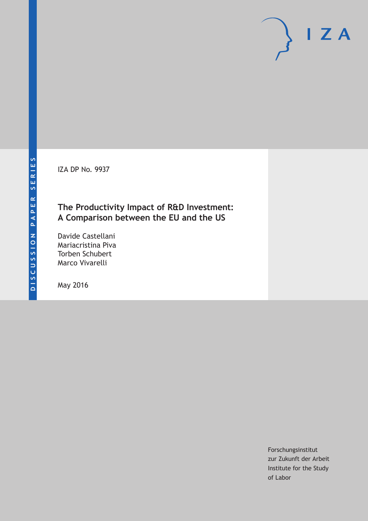IZA DP No. 9937

# **The Productivity Impact of R&D Investment: A Comparison between the EU and the US**

Davide Castellani Mariacristina Piva Torben Schubert Marco Vivarelli

May 2016

Forschungsinstitut zur Zukunft der Arbeit Institute for the Study of Labor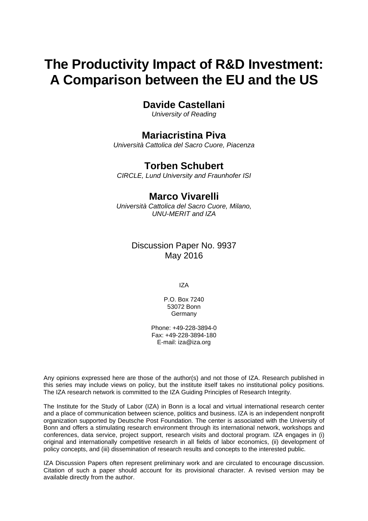# **The Productivity Impact of R&D Investment: A Comparison between the EU and the US**

# **Davide Castellani**

*University of Reading* 

# **Mariacristina Piva**

*Università Cattolica del Sacro Cuore, Piacenza* 

# **Torben Schubert**

*CIRCLE, Lund University and Fraunhofer ISI*

# **Marco Vivarelli**

*Università Cattolica del Sacro Cuore, Milano, UNU-MERIT and IZA* 

# Discussion Paper No. 9937 May 2016

IZA

P.O. Box 7240 53072 Bonn **Germany** 

Phone: +49-228-3894-0 Fax: +49-228-3894-180 E-mail: iza@iza.org

Any opinions expressed here are those of the author(s) and not those of IZA. Research published in this series may include views on policy, but the institute itself takes no institutional policy positions. The IZA research network is committed to the IZA Guiding Principles of Research Integrity.

The Institute for the Study of Labor (IZA) in Bonn is a local and virtual international research center and a place of communication between science, politics and business. IZA is an independent nonprofit organization supported by Deutsche Post Foundation. The center is associated with the University of Bonn and offers a stimulating research environment through its international network, workshops and conferences, data service, project support, research visits and doctoral program. IZA engages in (i) original and internationally competitive research in all fields of labor economics, (ii) development of policy concepts, and (iii) dissemination of research results and concepts to the interested public.

IZA Discussion Papers often represent preliminary work and are circulated to encourage discussion. Citation of such a paper should account for its provisional character. A revised version may be available directly from the author.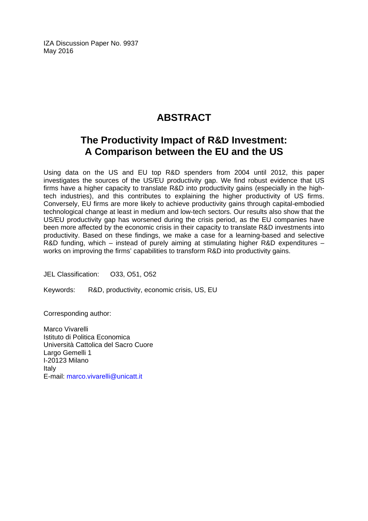IZA Discussion Paper No. 9937 May 2016

# **ABSTRACT**

# **The Productivity Impact of R&D Investment: A Comparison between the EU and the US**

Using data on the US and EU top R&D spenders from 2004 until 2012, this paper investigates the sources of the US/EU productivity gap. We find robust evidence that US firms have a higher capacity to translate R&D into productivity gains (especially in the hightech industries), and this contributes to explaining the higher productivity of US firms. Conversely, EU firms are more likely to achieve productivity gains through capital-embodied technological change at least in medium and low-tech sectors. Our results also show that the US/EU productivity gap has worsened during the crisis period, as the EU companies have been more affected by the economic crisis in their capacity to translate R&D investments into productivity. Based on these findings, we make a case for a learning-based and selective R&D funding, which – instead of purely aiming at stimulating higher R&D expenditures – works on improving the firms' capabilities to transform R&D into productivity gains.

JEL Classification: O33, O51, O52

Keywords: R&D, productivity, economic crisis, US, EU

Corresponding author:

Marco Vivarelli Istituto di Politica Economica Università Cattolica del Sacro Cuore Largo Gemelli 1 I‐20123 Milano Italy E-mail: marco.vivarelli@unicatt.it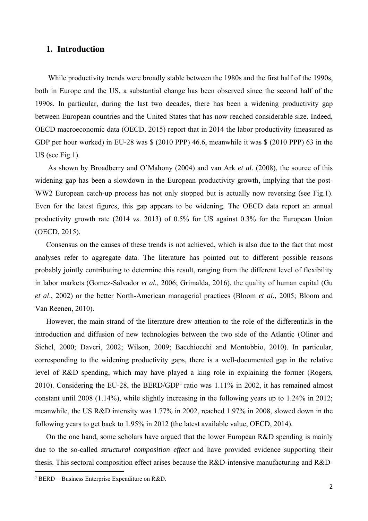# **1. Introduction**

While productivity trends were broadly stable between the 1980s and the first half of the 1990s, both in Europe and the US, a substantial change has been observed since the second half of the 1990s. In particular, during the last two decades, there has been a widening productivity gap between European countries and the United States that has now reached considerable size. Indeed, OECD macroeconomic data (OECD, 2015) report that in 2014 the labor productivity (measured as GDP per hour worked) in EU-28 was \$ (2010 PPP) 46.6, meanwhile it was \$ (2010 PPP) 63 in the US (see Fig.1).

 As shown by Broadberry and O'Mahony (2004) and van Ark *et al.* (2008), the source of this widening gap has been a slowdown in the European productivity growth, implying that the post-WW2 European catch-up process has not only stopped but is actually now reversing (see Fig.1). Even for the latest figures, this gap appears to be widening. The OECD data report an annual productivity growth rate (2014 *vs*. 2013) of 0.5% for US against 0.3% for the European Union (OECD, 2015).

Consensus on the causes of these trends is not achieved, which is also due to the fact that most analyses refer to aggregate data. The literature has pointed out to different possible reasons probably jointly contributing to determine this result, ranging from the different level of flexibility in labor markets (Gomez-Salvador *et al.,* 2006; Grimalda, 2016), the quality of human capital (Gu *et al*., 2002) or the better North-American managerial practices (Bloom *et al*., 2005; Bloom and Van Reenen, 2010).

However, the main strand of the literature drew attention to the role of the differentials in the introduction and diffusion of new technologies between the two side of the Atlantic (Oliner and Sichel, 2000; Daveri, 2002; Wilson, 2009; Bacchiocchi and Montobbio, 2010). In particular, corresponding to the widening productivity gaps, there is a well-documented gap in the relative level of R&D spending, which may have played a king role in explaining the former (Rogers, 2010). Considering the EU-28, the BERD/GDP<sup>1</sup> ratio was  $1.11\%$  in 2002, it has remained almost constant until 2008 (1.14%), while slightly increasing in the following years up to 1.24% in 2012; meanwhile, the US R&D intensity was 1.77% in 2002, reached 1.97% in 2008, slowed down in the following years to get back to 1.95% in 2012 (the latest available value, OECD, 2014).

On the one hand, some scholars have argued that the lower European R&D spending is mainly due to the so-called *structural composition effect* and have provided evidence supporting their thesis. This sectoral composition effect arises because the R&D-intensive manufacturing and R&D-

<sup>&</sup>lt;sup>1</sup> BERD = Business Enterprise Expenditure on R&D.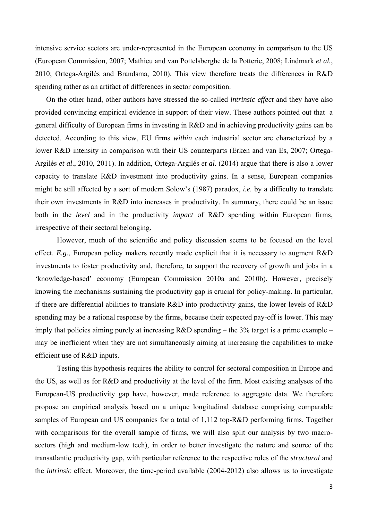intensive service sectors are under-represented in the European economy in comparison to the US (European Commission, 2007; Mathieu and van Pottelsberghe de la Potterie, 2008; Lindmark *et al.*, 2010; Ortega-Argilés and Brandsma, 2010). This view therefore treats the differences in R&D spending rather as an artifact of differences in sector composition.

On the other hand, other authors have stressed the so-called *intrinsic effect* and they have also provided convincing empirical evidence in support of their view. These authors pointed out that a general difficulty of European firms in investing in R&D and in achieving productivity gains can be detected. According to this view, EU firms *within* each industrial sector are characterized by a lower R&D intensity in comparison with their US counterparts (Erken and van Es, 2007; Ortega-Argilés *et al*., 2010, 2011). In addition, Ortega-Argilés *et al*. (2014) argue that there is also a lower capacity to translate R&D investment into productivity gains. In a sense, European companies might be still affected by a sort of modern Solow's (1987) paradox, *i.e.* by a difficulty to translate their own investments in R&D into increases in productivity. In summary, there could be an issue both in the *level* and in the productivity *impact* of R&D spending within European firms, irrespective of their sectoral belonging.

However, much of the scientific and policy discussion seems to be focused on the level effect. *E.g.*, European policy makers recently made explicit that it is necessary to augment R&D investments to foster productivity and, therefore, to support the recovery of growth and jobs in a 'knowledge-based' economy (European Commission 2010a and 2010b). However, precisely knowing the mechanisms sustaining the productivity gap is crucial for policy-making. In particular, if there are differential abilities to translate R&D into productivity gains, the lower levels of R&D spending may be a rational response by the firms, because their expected pay-off is lower. This may imply that policies aiming purely at increasing R&D spending – the 3% target is a prime example – may be inefficient when they are not simultaneously aiming at increasing the capabilities to make efficient use of R&D inputs.

Testing this hypothesis requires the ability to control for sectoral composition in Europe and the US, as well as for R&D and productivity at the level of the firm. Most existing analyses of the European-US productivity gap have, however, made reference to aggregate data. We therefore propose an empirical analysis based on a unique longitudinal database comprising comparable samples of European and US companies for a total of 1,112 top-R&D performing firms. Together with comparisons for the overall sample of firms, we will also split our analysis by two macrosectors (high and medium-low tech), in order to better investigate the nature and source of the transatlantic productivity gap, with particular reference to the respective roles of the *structural* and the *intrinsic* effect. Moreover, the time-period available (2004-2012) also allows us to investigate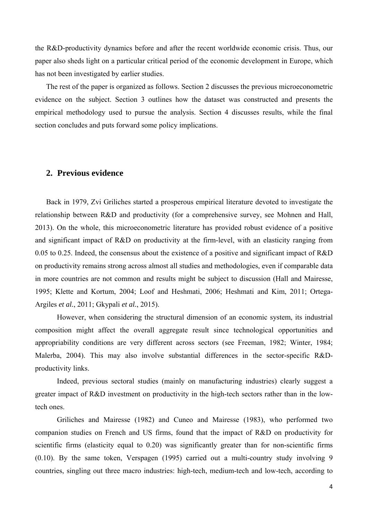the R&D-productivity dynamics before and after the recent worldwide economic crisis. Thus, our paper also sheds light on a particular critical period of the economic development in Europe, which has not been investigated by earlier studies.

The rest of the paper is organized as follows. Section 2 discusses the previous microeconometric evidence on the subject. Section 3 outlines how the dataset was constructed and presents the empirical methodology used to pursue the analysis. Section 4 discusses results, while the final section concludes and puts forward some policy implications.

### **2. Previous evidence**

Back in 1979, Zvi Griliches started a prosperous empirical literature devoted to investigate the relationship between R&D and productivity (for a comprehensive survey, see Mohnen and Hall, 2013). On the whole, this microeconometric literature has provided robust evidence of a positive and significant impact of R&D on productivity at the firm-level, with an elasticity ranging from 0.05 to 0.25. Indeed, the consensus about the existence of a positive and significant impact of R&D on productivity remains strong across almost all studies and methodologies, even if comparable data in more countries are not common and results might be subject to discussion (Hall and Mairesse, 1995; Klette and Kortum, 2004; Loof and Heshmati, 2006; Heshmati and Kim, 2011; Ortega-Argiles *et al.*, 2011; Gkypali *et al.*, 2015).

However, when considering the structural dimension of an economic system, its industrial composition might affect the overall aggregate result since technological opportunities and appropriability conditions are very different across sectors (see Freeman, 1982; Winter, 1984; Malerba, 2004). This may also involve substantial differences in the sector-specific R&Dproductivity links.

Indeed, previous sectoral studies (mainly on manufacturing industries) clearly suggest a greater impact of R&D investment on productivity in the high-tech sectors rather than in the lowtech ones.

Griliches and Mairesse (1982) and Cuneo and Mairesse (1983), who performed two companion studies on French and US firms, found that the impact of R&D on productivity for scientific firms (elasticity equal to 0.20) was significantly greater than for non-scientific firms (0.10). By the same token, Verspagen (1995) carried out a multi-country study involving 9 countries, singling out three macro industries: high-tech, medium-tech and low-tech, according to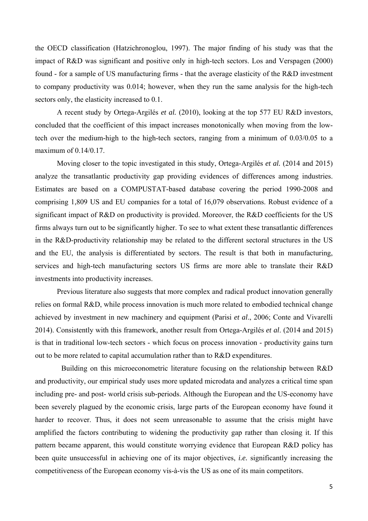the OECD classification (Hatzichronoglou, 1997). The major finding of his study was that the impact of R&D was significant and positive only in high-tech sectors. Los and Verspagen (2000) found - for a sample of US manufacturing firms - that the average elasticity of the R&D investment to company productivity was 0.014; however, when they run the same analysis for the high-tech sectors only, the elasticity increased to 0.1.

A recent study by Ortega-Argilés *et al.* (2010), looking at the top 577 EU R&D investors, concluded that the coefficient of this impact increases monotonically when moving from the lowtech over the medium-high to the high-tech sectors, ranging from a minimum of 0.03/0.05 to a maximum of 0.14/0.17.

Moving closer to the topic investigated in this study, Ortega-Argilés *et al.* (2014 and 2015) analyze the transatlantic productivity gap providing evidences of differences among industries. Estimates are based on a COMPUSTAT-based database covering the period 1990-2008 and comprising 1,809 US and EU companies for a total of 16,079 observations. Robust evidence of a significant impact of R&D on productivity is provided. Moreover, the R&D coefficients for the US firms always turn out to be significantly higher. To see to what extent these transatlantic differences in the R&D-productivity relationship may be related to the different sectoral structures in the US and the EU, the analysis is differentiated by sectors. The result is that both in manufacturing, services and high-tech manufacturing sectors US firms are more able to translate their R&D investments into productivity increases.

Previous literature also suggests that more complex and radical product innovation generally relies on formal R&D, while process innovation is much more related to embodied technical change achieved by investment in new machinery and equipment (Parisi *et al*., 2006; Conte and Vivarelli 2014). Consistently with this framework, another result from Ortega-Argilés *et al*. (2014 and 2015) is that in traditional low-tech sectors - which focus on process innovation - productivity gains turn out to be more related to capital accumulation rather than to R&D expenditures.

Building on this microeconometric literature focusing on the relationship between R&D and productivity, our empirical study uses more updated microdata and analyzes a critical time span including pre- and post- world crisis sub-periods. Although the European and the US-economy have been severely plagued by the economic crisis, large parts of the European economy have found it harder to recover. Thus, it does not seem unreasonable to assume that the crisis might have amplified the factors contributing to widening the productivity gap rather than closing it. If this pattern became apparent, this would constitute worrying evidence that European R&D policy has been quite unsuccessful in achieving one of its major objectives, *i.e.* significantly increasing the competitiveness of the European economy vis-à-vis the US as one of its main competitors.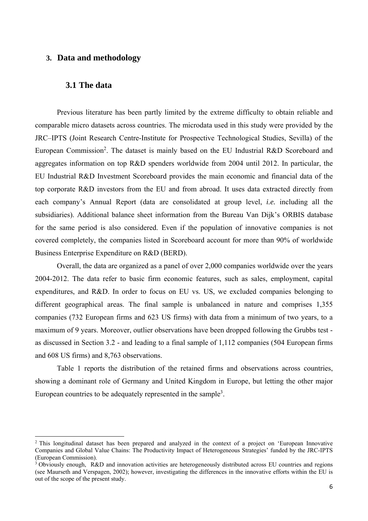# **3. Data and methodology**

### **3.1 The data**

Previous literature has been partly limited by the extreme difficulty to obtain reliable and comparable micro datasets across countries. The microdata used in this study were provided by the JRC–IPTS (Joint Research Centre-Institute for Prospective Technological Studies, Sevilla) of the European Commission<sup>2</sup>. The dataset is mainly based on the EU Industrial R&D Scoreboard and aggregates information on top R&D spenders worldwide from 2004 until 2012. In particular, the EU Industrial R&D Investment Scoreboard provides the main economic and financial data of the top corporate R&D investors from the EU and from abroad. It uses data extracted directly from each company's Annual Report (data are consolidated at group level, *i.e.* including all the subsidiaries). Additional balance sheet information from the Bureau Van Dijk's ORBIS database for the same period is also considered. Even if the population of innovative companies is not covered completely, the companies listed in Scoreboard account for more than 90% of worldwide Business Enterprise Expenditure on R&D (BERD).

Overall, the data are organized as a panel of over 2,000 companies worldwide over the years 2004-2012. The data refer to basic firm economic features, such as sales, employment, capital expenditures, and R&D. In order to focus on EU vs. US, we excluded companies belonging to different geographical areas. The final sample is unbalanced in nature and comprises 1,355 companies (732 European firms and 623 US firms) with data from a minimum of two years, to a maximum of 9 years. Moreover, outlier observations have been dropped following the Grubbs test as discussed in Section 3.2 - and leading to a final sample of 1,112 companies (504 European firms and 608 US firms) and 8,763 observations.

Table 1 reports the distribution of the retained firms and observations across countries, showing a dominant role of Germany and United Kingdom in Europe, but letting the other major European countries to be adequately represented in the sample<sup>3</sup>.

<sup>2</sup> This longitudinal dataset has been prepared and analyzed in the context of a project on 'European Innovative Companies and Global Value Chains: The Productivity Impact of Heterogeneous Strategies' funded by the JRC-IPTS (European Commission).

<sup>&</sup>lt;sup>3</sup> Obviously enough, R&D and innovation activities are heterogeneously distributed across EU countries and regions (see Maurseth and Verspagen, 2002); however, investigating the differences in the innovative efforts within the EU is out of the scope of the present study.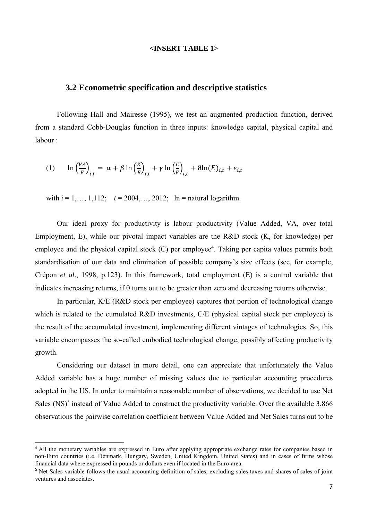#### **<INSERT TABLE 1>**

#### **3.2 Econometric specification and descriptive statistics**

Following Hall and Mairesse (1995), we test an augmented production function, derived from a standard Cobb-Douglas function in three inputs: knowledge capital, physical capital and labour :

(1) 
$$
\ln\left(\frac{VA}{E}\right)_{i,t} = \alpha + \beta \ln\left(\frac{K}{E}\right)_{i,t} + \gamma \ln\left(\frac{C}{E}\right)_{i,t} + \vartheta \ln(E)_{i,t} + \varepsilon_{i,t}
$$

with  $i = 1, ..., 1,112;$   $t = 2004, ..., 2012;$   $\ln$  = natural logarithm.

Our ideal proxy for productivity is labour productivity (Value Added, VA, over total Employment, E), while our pivotal impact variables are the R&D stock (K, for knowledge) per employee and the physical capital stock (C) per employee<sup>4</sup>. Taking per capita values permits both standardisation of our data and elimination of possible company's size effects (see, for example, Crépon *et al*., 1998, p.123). In this framework, total employment (E) is a control variable that indicates increasing returns, if  $\theta$  turns out to be greater than zero and decreasing returns otherwise.

In particular, K/E (R&D stock per employee) captures that portion of technological change which is related to the cumulated R&D investments, C/E (physical capital stock per employee) is the result of the accumulated investment, implementing different vintages of technologies. So, this variable encompasses the so-called embodied technological change, possibly affecting productivity growth.

Considering our dataset in more detail, one can appreciate that unfortunately the Value Added variable has a huge number of missing values due to particular accounting procedures adopted in the US. In order to maintain a reasonable number of observations, we decided to use Net Sales  $(NS)^5$  instead of Value Added to construct the productivity variable. Over the available 3,866 observations the pairwise correlation coefficient between Value Added and Net Sales turns out to be

<sup>4</sup> All the monetary variables are expressed in Euro after applying appropriate exchange rates for companies based in non-Euro countries (i.e. Denmark, Hungary, Sweden, United Kingdom, United States) and in cases of firms whose financial data where expressed in pounds or dollars even if located in the Euro-area.

<sup>&</sup>lt;sup>5</sup> Net Sales variable follows the usual accounting definition of sales, excluding sales taxes and shares of sales of joint ventures and associates.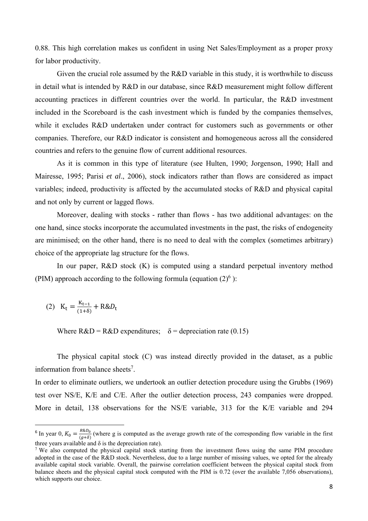0.88. This high correlation makes us confident in using Net Sales/Employment as a proper proxy for labor productivity.

Given the crucial role assumed by the R&D variable in this study, it is worthwhile to discuss in detail what is intended by R&D in our database, since R&D measurement might follow different accounting practices in different countries over the world. In particular, the R&D investment included in the Scoreboard is the cash investment which is funded by the companies themselves, while it excludes R&D undertaken under contract for customers such as governments or other companies. Therefore, our R&D indicator is consistent and homogeneous across all the considered countries and refers to the genuine flow of current additional resources.

As it is common in this type of literature (see Hulten, 1990; Jorgenson, 1990; Hall and Mairesse, 1995; Parisi *et al*., 2006), stock indicators rather than flows are considered as impact variables; indeed, productivity is affected by the accumulated stocks of R&D and physical capital and not only by current or lagged flows.

Moreover, dealing with stocks - rather than flows - has two additional advantages: on the one hand, since stocks incorporate the accumulated investments in the past, the risks of endogeneity are minimised; on the other hand, there is no need to deal with the complex (sometimes arbitrary) choice of the appropriate lag structure for the flows.

In our paper, R&D stock (K) is computed using a standard perpetual inventory method (PIM) approach according to the following formula (equation  $(2)^6$ ):

(2) 
$$
K_t = \frac{K_{t-1}}{(1+\delta)} + R \& D_t
$$

Where  $R&D = R&D$  expenditures;  $\delta =$  depreciation rate (0.15)

The physical capital stock (C) was instead directly provided in the dataset, as a public information from balance sheets<sup>7</sup>.

In order to eliminate outliers, we undertook an outlier detection procedure using the Grubbs (1969) test over NS/E, K/E and C/E. After the outlier detection process, 243 companies were dropped. More in detail, 138 observations for the NS/E variable, 313 for the K/E variable and 294

<sup>&</sup>lt;sup>6</sup> In year 0,  $K_0 = \frac{R\&D_0}{(g+\delta)}$  (where g is computed as the average growth rate of the corresponding flow variable in the first three years available and  $\delta$  is the depreciation rate).

<sup>&</sup>lt;sup>7</sup> We also computed the physical capital stock starting from the investment flows using the same PIM procedure adopted in the case of the R&D stock. Nevertheless, due to a large number of missing values, we opted for the already available capital stock variable. Overall, the pairwise correlation coefficient between the physical capital stock from balance sheets and the physical capital stock computed with the PIM is 0.72 (over the available 7,056 observations), which supports our choice.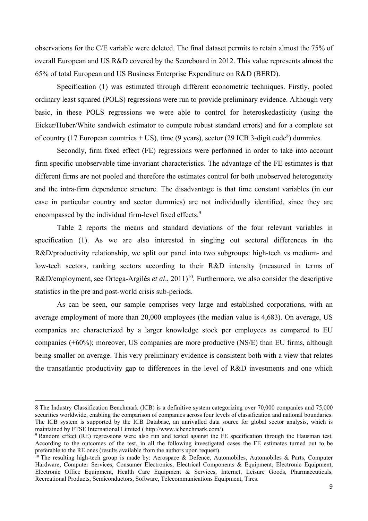observations for the C/E variable were deleted. The final dataset permits to retain almost the 75% of overall European and US R&D covered by the Scoreboard in 2012. This value represents almost the 65% of total European and US Business Enterprise Expenditure on R&D (BERD).

Specification (1) was estimated through different econometric techniques. Firstly, pooled ordinary least squared (POLS) regressions were run to provide preliminary evidence. Although very basic, in these POLS regressions we were able to control for heteroskedasticity (using the Eicker/Huber/White sandwich estimator to compute robust standard errors) and for a complete set of country (17 European countries  $+$  US), time (9 years), sector (29 ICB 3-digit code<sup>8</sup>) dummies.

Secondly, firm fixed effect (FE) regressions were performed in order to take into account firm specific unobservable time-invariant characteristics. The advantage of the FE estimates is that different firms are not pooled and therefore the estimates control for both unobserved heterogeneity and the intra-firm dependence structure. The disadvantage is that time constant variables (in our case in particular country and sector dummies) are not individually identified, since they are encompassed by the individual firm-level fixed effects.<sup>9</sup>

Table 2 reports the means and standard deviations of the four relevant variables in specification (1). As we are also interested in singling out sectoral differences in the R&D/productivity relationship, we split our panel into two subgroups: high-tech vs medium- and low-tech sectors, ranking sectors according to their R&D intensity (measured in terms of R&D/employment, see Ortega-Argilés *et al.*, 2011)<sup>10</sup>. Furthermore, we also consider the descriptive statistics in the pre and post-world crisis sub-periods.

As can be seen, our sample comprises very large and established corporations, with an average employment of more than 20,000 employees (the median value is 4,683). On average, US companies are characterized by a larger knowledge stock per employees as compared to EU companies (+60%); moreover, US companies are more productive (NS/E) than EU firms, although being smaller on average. This very preliminary evidence is consistent both with a view that relates the transatlantic productivity gap to differences in the level of R&D investments and one which

<sup>8</sup> The Industry Classification Benchmark (ICB) is a definitive system categorizing over 70,000 companies and 75,000 securities worldwide, enabling the comparison of companies across four levels of classification and national boundaries. The ICB system is supported by the ICB Database, an unrivalled data source for global sector analysis, which is maintained by FTSE International Limited ( http://www.icbenchmark.com/).

<sup>&</sup>lt;sup>9</sup> Random effect (RE) regressions were also run and tested against the FE specification through the Hausman test. According to the outcomes of the test, in all the following investigated cases the FE estimates turned out to be preferable to the RE ones (results available from the authors upon request).

<sup>&</sup>lt;sup>10</sup> The resulting high-tech group is made by: Aerospace & Defence, Automobiles, Automobiles & Parts, Computer Hardware, Computer Services, Consumer Electronics, Electrical Components & Equipment, Electronic Equipment, Electronic Office Equipment, Health Care Equipment & Services, Internet, Leisure Goods, Pharmaceuticals, Recreational Products, Semiconductors, Software, Telecommunications Equipment, Tires.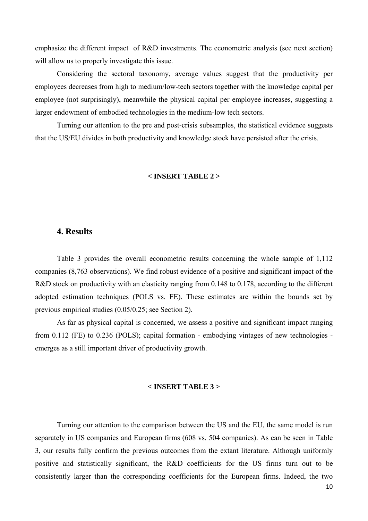emphasize the different impact of R&D investments. The econometric analysis (see next section) will allow us to properly investigate this issue.

Considering the sectoral taxonomy, average values suggest that the productivity per employees decreases from high to medium/low-tech sectors together with the knowledge capital per employee (not surprisingly), meanwhile the physical capital per employee increases, suggesting a larger endowment of embodied technologies in the medium-low tech sectors.

Turning our attention to the pre and post-crisis subsamples, the statistical evidence suggests that the US/EU divides in both productivity and knowledge stock have persisted after the crisis.

#### **< INSERT TABLE 2 >**

#### **4. Results**

Table 3 provides the overall econometric results concerning the whole sample of 1,112 companies (8,763 observations). We find robust evidence of a positive and significant impact of the R&D stock on productivity with an elasticity ranging from 0.148 to 0.178, according to the different adopted estimation techniques (POLS vs. FE). These estimates are within the bounds set by previous empirical studies (0.05/0.25; see Section 2).

As far as physical capital is concerned, we assess a positive and significant impact ranging from 0.112 (FE) to 0.236 (POLS); capital formation - embodying vintages of new technologies emerges as a still important driver of productivity growth.

#### **< INSERT TABLE 3 >**

Turning our attention to the comparison between the US and the EU, the same model is run separately in US companies and European firms (608 vs. 504 companies). As can be seen in Table 3, our results fully confirm the previous outcomes from the extant literature. Although uniformly positive and statistically significant, the R&D coefficients for the US firms turn out to be consistently larger than the corresponding coefficients for the European firms. Indeed, the two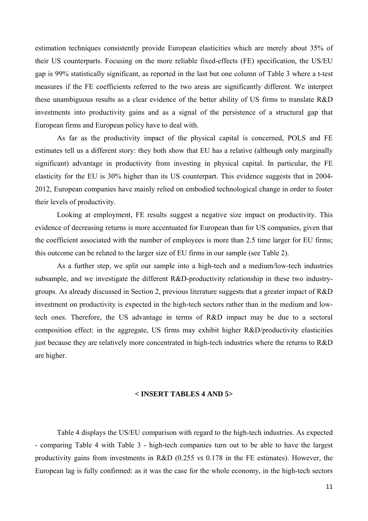estimation techniques consistently provide European elasticities which are merely about 35% of their US counterparts. Focusing on the more reliable fixed-effects (FE) specification, the US/EU gap is 99% statistically significant, as reported in the last but one column of Table 3 where a t-test measures if the FE coefficients referred to the two areas are significantly different. We interpret these unambiguous results as a clear evidence of the better ability of US firms to translate R&D investments into productivity gains and as a signal of the persistence of a structural gap that European firms and European policy have to deal with.

As far as the productivity impact of the physical capital is concerned, POLS and FE estimates tell us a different story: they both show that EU has a relative (although only marginally significant) advantage in productivity from investing in physical capital. In particular, the FE elasticity for the EU is 30% higher than its US counterpart. This evidence suggests that in 2004- 2012, European companies have mainly relied on embodied technological change in order to foster their levels of productivity.

Looking at employment, FE results suggest a negative size impact on productivity. This evidence of decreasing returns is more accentuated for European than for US companies, given that the coefficient associated with the number of employees is more than 2.5 time larger for EU firms; this outcome can be related to the larger size of EU firms in our sample (see Table 2).

As a further step, we split our sample into a high-tech and a medium/low-tech industries subsample, and we investigate the different R&D-productivity relationship in these two industrygroups. As already discussed in Section 2, previous literature suggests that a greater impact of R&D investment on productivity is expected in the high-tech sectors rather than in the medium and lowtech ones. Therefore, the US advantage in terms of R&D impact may be due to a sectoral composition effect: in the aggregate, US firms may exhibit higher R&D/productivity elasticities just because they are relatively more concentrated in high-tech industries where the returns to R&D are higher.

#### **< INSERT TABLES 4 AND 5>**

Table 4 displays the US/EU comparison with regard to the high-tech industries. As expected - comparing Table 4 with Table 3 - high-tech companies turn out to be able to have the largest productivity gains from investments in R&D (0.255 *vs* 0.178 in the FE estimates). However, the European lag is fully confirmed: as it was the case for the whole economy, in the high-tech sectors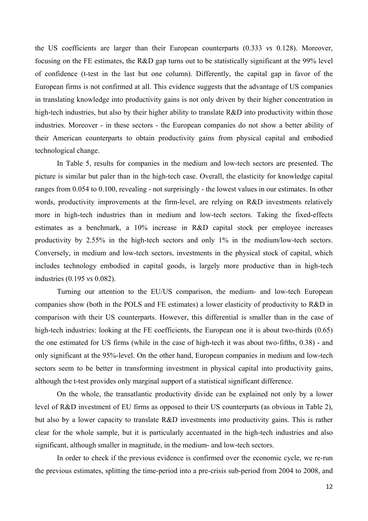the US coefficients are larger than their European counterparts (0.333 *vs* 0.128). Moreover, focusing on the FE estimates, the R&D gap turns out to be statistically significant at the 99% level of confidence (t-test in the last but one column). Differently, the capital gap in favor of the European firms is not confirmed at all. This evidence suggests that the advantage of US companies in translating knowledge into productivity gains is not only driven by their higher concentration in high-tech industries, but also by their higher ability to translate R&D into productivity within those industries. Moreover - in these sectors - the European companies do not show a better ability of their American counterparts to obtain productivity gains from physical capital and embodied technological change.

In Table 5, results for companies in the medium and low-tech sectors are presented. The picture is similar but paler than in the high-tech case. Overall, the elasticity for knowledge capital ranges from 0.054 to 0.100, revealing - not surprisingly - the lowest values in our estimates. In other words, productivity improvements at the firm-level, are relying on R&D investments relatively more in high-tech industries than in medium and low-tech sectors. Taking the fixed-effects estimates as a benchmark, a 10% increase in R&D capital stock per employee increases productivity by 2.55% in the high-tech sectors and only 1% in the medium/low-tech sectors. Conversely, in medium and low-tech sectors, investments in the physical stock of capital, which includes technology embodied in capital goods, is largely more productive than in high-tech industries (0.195 *vs* 0.082).

Turning our attention to the EU/US comparison, the medium- and low-tech European companies show (both in the POLS and FE estimates) a lower elasticity of productivity to R&D in comparison with their US counterparts. However, this differential is smaller than in the case of high-tech industries: looking at the FE coefficients, the European one it is about two-thirds (0.65) the one estimated for US firms (while in the case of high-tech it was about two-fifths, 0.38) - and only significant at the 95%-level. On the other hand, European companies in medium and low-tech sectors seem to be better in transforming investment in physical capital into productivity gains, although the t-test provides only marginal support of a statistical significant difference.

On the whole, the transatlantic productivity divide can be explained not only by a lower level of R&D investment of EU firms as opposed to their US counterparts (as obvious in Table 2), but also by a lower capacity to translate R&D investments into productivity gains. This is rather clear for the whole sample, but it is particularly accentuated in the high-tech industries and also significant, although smaller in magnitude, in the medium- and low-tech sectors.

In order to check if the previous evidence is confirmed over the economic cycle, we re-run the previous estimates, splitting the time-period into a pre-crisis sub-period from 2004 to 2008, and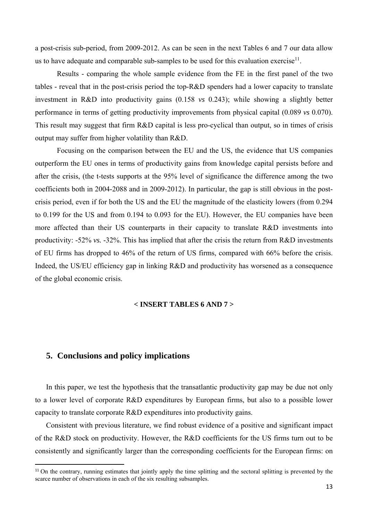a post-crisis sub-period, from 2009-2012. As can be seen in the next Tables 6 and 7 our data allow us to have adequate and comparable sub-samples to be used for this evaluation exercise<sup>11</sup>.

Results - comparing the whole sample evidence from the FE in the first panel of the two tables - reveal that in the post-crisis period the top-R&D spenders had a lower capacity to translate investment in R&D into productivity gains (0.158 *vs* 0.243); while showing a slightly better performance in terms of getting productivity improvements from physical capital (0.089 *vs* 0.070). This result may suggest that firm R&D capital is less pro-cyclical than output, so in times of crisis output may suffer from higher volatility than R&D.

Focusing on the comparison between the EU and the US, the evidence that US companies outperform the EU ones in terms of productivity gains from knowledge capital persists before and after the crisis, (the t-tests supports at the 95% level of significance the difference among the two coefficients both in 2004-2088 and in 2009-2012). In particular, the gap is still obvious in the postcrisis period, even if for both the US and the EU the magnitude of the elasticity lowers (from 0.294 to 0.199 for the US and from 0.194 to 0.093 for the EU). However, the EU companies have been more affected than their US counterparts in their capacity to translate R&D investments into productivity: -52% *vs.* -32%. This has implied that after the crisis the return from R&D investments of EU firms has dropped to 46% of the return of US firms, compared with 66% before the crisis. Indeed, the US/EU efficiency gap in linking R&D and productivity has worsened as a consequence of the global economic crisis.

#### **< INSERT TABLES 6 AND 7 >**

# **5. Conclusions and policy implications**

In this paper, we test the hypothesis that the transatlantic productivity gap may be due not only to a lower level of corporate R&D expenditures by European firms, but also to a possible lower capacity to translate corporate R&D expenditures into productivity gains.

Consistent with previous literature, we find robust evidence of a positive and significant impact of the R&D stock on productivity. However, the R&D coefficients for the US firms turn out to be consistently and significantly larger than the corresponding coefficients for the European firms: on

<sup>&</sup>lt;sup>11</sup> On the contrary, running estimates that jointly apply the time splitting and the sectoral splitting is prevented by the scarce number of observations in each of the six resulting subsamples.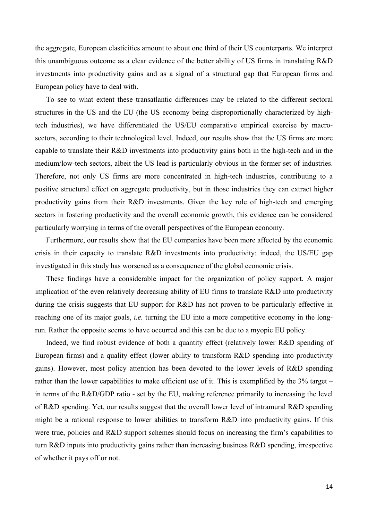the aggregate, European elasticities amount to about one third of their US counterparts. We interpret this unambiguous outcome as a clear evidence of the better ability of US firms in translating R&D investments into productivity gains and as a signal of a structural gap that European firms and European policy have to deal with.

To see to what extent these transatlantic differences may be related to the different sectoral structures in the US and the EU (the US economy being disproportionally characterized by hightech industries), we have differentiated the US/EU comparative empirical exercise by macrosectors, according to their technological level. Indeed, our results show that the US firms are more capable to translate their R&D investments into productivity gains both in the high-tech and in the medium/low-tech sectors, albeit the US lead is particularly obvious in the former set of industries. Therefore, not only US firms are more concentrated in high-tech industries, contributing to a positive structural effect on aggregate productivity, but in those industries they can extract higher productivity gains from their R&D investments. Given the key role of high-tech and emerging sectors in fostering productivity and the overall economic growth, this evidence can be considered particularly worrying in terms of the overall perspectives of the European economy.

Furthermore, our results show that the EU companies have been more affected by the economic crisis in their capacity to translate R&D investments into productivity: indeed, the US/EU gap investigated in this study has worsened as a consequence of the global economic crisis.

These findings have a considerable impact for the organization of policy support. A major implication of the even relatively decreasing ability of EU firms to translate R&D into productivity during the crisis suggests that EU support for R&D has not proven to be particularly effective in reaching one of its major goals, *i.e.* turning the EU into a more competitive economy in the longrun. Rather the opposite seems to have occurred and this can be due to a myopic EU policy.

Indeed, we find robust evidence of both a quantity effect (relatively lower R&D spending of European firms) and a quality effect (lower ability to transform R&D spending into productivity gains). However, most policy attention has been devoted to the lower levels of R&D spending rather than the lower capabilities to make efficient use of it. This is exemplified by the 3% target – in terms of the R&D/GDP ratio - set by the EU, making reference primarily to increasing the level of R&D spending. Yet, our results suggest that the overall lower level of intramural R&D spending might be a rational response to lower abilities to transform R&D into productivity gains. If this were true, policies and R&D support schemes should focus on increasing the firm's capabilities to turn R&D inputs into productivity gains rather than increasing business R&D spending, irrespective of whether it pays off or not.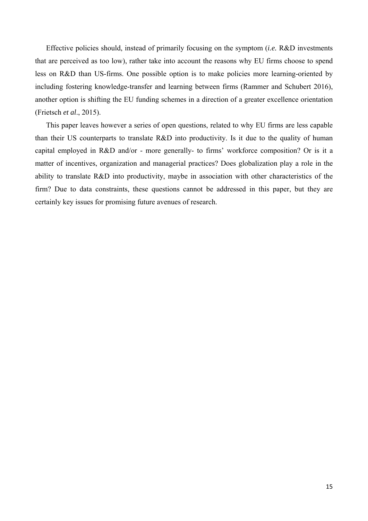Effective policies should, instead of primarily focusing on the symptom (*i.e.* R&D investments that are perceived as too low), rather take into account the reasons why EU firms choose to spend less on R&D than US-firms. One possible option is to make policies more learning-oriented by including fostering knowledge-transfer and learning between firms (Rammer and Schubert 2016), another option is shifting the EU funding schemes in a direction of a greater excellence orientation (Frietsch *et al*., 2015).

This paper leaves however a series of open questions, related to why EU firms are less capable than their US counterparts to translate R&D into productivity. Is it due to the quality of human capital employed in R&D and/or - more generally- to firms' workforce composition? Or is it a matter of incentives, organization and managerial practices? Does globalization play a role in the ability to translate R&D into productivity, maybe in association with other characteristics of the firm? Due to data constraints, these questions cannot be addressed in this paper, but they are certainly key issues for promising future avenues of research.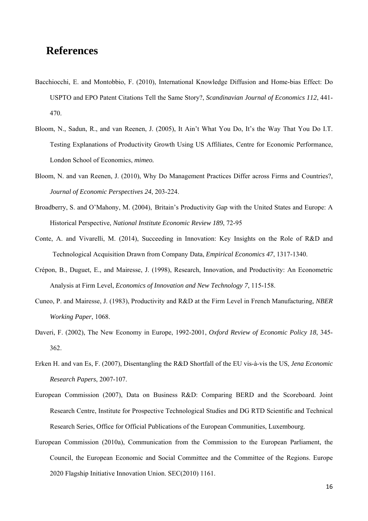# **References**

- Bacchiocchi, E. and Montobbio, F. (2010), International Knowledge Diffusion and Home-bias Effect: Do USPTO and EPO Patent Citations Tell the Same Story?, *Scandinavian Journal of Economics 112*, 441- 470.
- Bloom, N., Sadun, R., and van Reenen, J. (2005), It Ain't What You Do, It's the Way That You Do I.T. Testing Explanations of Productivity Growth Using US Affiliates, Centre for Economic Performance, London School of Economics, *mimeo.*
- Bloom, N. and van Reenen, J. (2010), Why Do Management Practices Differ across Firms and Countries?, *Journal of Economic Perspectives 24*, 203-224.
- Broadberry, S. and O'Mahony, M. (2004), Britain's Productivity Gap with the United States and Europe: A Historical Perspective, *National Institute Economic Review 189*, 72-95
- Conte, A. and Vivarelli, M. (2014), Succeeding in Innovation: Key Insights on the Role of R&D and Technological Acquisition Drawn from Company Data, *Empirical Economics 47*, 1317-1340.
- Crépon, B., Duguet, E., and Mairesse, J. (1998), Research, Innovation, and Productivity: An Econometric Analysis at Firm Level, *Economics of Innovation and New Technology 7*, 115-158.
- Cuneo, P. and Mairesse, J. (1983), Productivity and R&D at the Firm Level in French Manufacturing, *NBER Working Paper*, 1068.
- Daveri, F. (2002), The New Economy in Europe, 1992-2001, *Oxford Review of Economic Policy 18*, 345- 362.
- Erken H. and van Es, F. (2007), Disentangling the R&D Shortfall of the EU vis-à-vis the US, *Jena Economic Research Papers*, 2007-107.
- European Commission (2007), Data on Business R&D: Comparing BERD and the Scoreboard. Joint Research Centre, Institute for Prospective Technological Studies and DG RTD Scientific and Technical Research Series, Office for Official Publications of the European Communities, Luxembourg.
- European Commission (2010a), Communication from the Commission to the European Parliament, the Council, the European Economic and Social Committee and the Committee of the Regions. Europe 2020 Flagship Initiative Innovation Union. SEC(2010) 1161.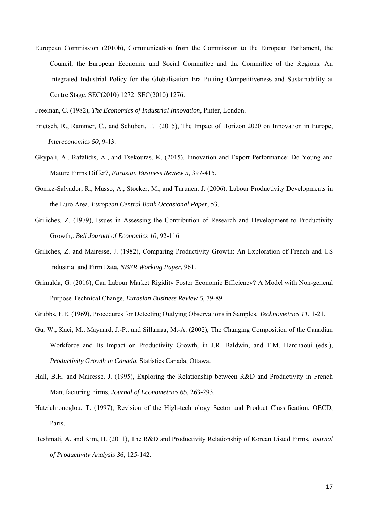European Commission (2010b), Communication from the Commission to the European Parliament, the Council, the European Economic and Social Committee and the Committee of the Regions. An Integrated Industrial Policy for the Globalisation Era Putting Competitiveness and Sustainability at Centre Stage. SEC(2010) 1272. SEC(2010) 1276.

Freeman, C. (1982), *The Economics of Industrial Innovation*, Pinter, London.

- Frietsch, R., Rammer, C., and Schubert, T. (2015), The Impact of Horizon 2020 on Innovation in Europe, *Intereconomics 50*, 9-13.
- Gkypali, A., Rafalidis, A., and Tsekouras, K. (2015), Innovation and Export Performance: Do Young and Mature Firms Differ?, *Eurasian Business Review 5*, 397-415.
- Gomez-Salvador, R., Musso, A., Stocker, M., and Turunen, J. (2006), Labour Productivity Developments in the Euro Area, *European Central Bank Occasional Paper*, 53.
- Griliches, Z. (1979), Issues in Assessing the Contribution of Research and Development to Productivity Growth,. *Bell Journal of Economics 10*, 92-116.
- Griliches, Z. and Mairesse, J. (1982), Comparing Productivity Growth: An Exploration of French and US Industrial and Firm Data, *NBER Working Paper*, 961.
- Grimalda, G. (2016), Can Labour Market Rigidity Foster Economic Efficiency? A Model with Non-general Purpose Technical Change, *Eurasian Business Review 6*, 79-89.
- Grubbs, F.E. (1969), Procedures for Detecting Outlying Observations in Samples, *Technometrics 11*, 1-21.
- Gu, W., Kaci, M., Maynard, J.-P., and Sillamaa, M.-A. (2002), The Changing Composition of the Canadian Workforce and Its Impact on Productivity Growth, in J.R. Baldwin, and T.M. Harchaoui (eds.), *Productivity Growth in Canada*, Statistics Canada, Ottawa.
- Hall, B.H. and Mairesse, J. (1995), Exploring the Relationship between R&D and Productivity in French Manufacturing Firms, *Journal of Econometrics 65*, 263-293.
- Hatzichronoglou, T. (1997), Revision of the High-technology Sector and Product Classification, OECD, Paris.
- Heshmati, A. and Kim, H. (2011), The R&D and Productivity Relationship of Korean Listed Firms, *Journal of Productivity Analysis 36*, 125-142.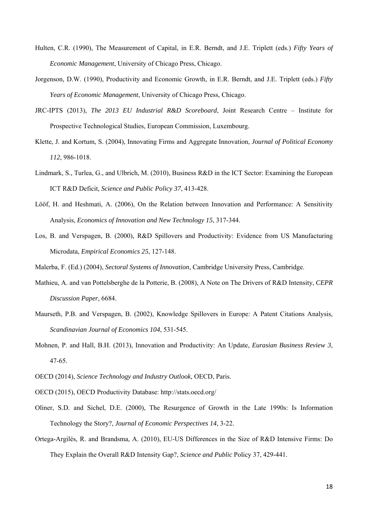- Hulten, C.R. (1990), The Measurement of Capital, in E.R. Berndt, and J.E. Triplett (eds.) *Fifty Years of Economic Management*, University of Chicago Press, Chicago.
- Jorgenson, D.W. (1990), Productivity and Economic Growth, in E.R. Berndt, and J.E. Triplett (eds.) *Fifty Years of Economic Management*, University of Chicago Press, Chicago.
- JRC-IPTS (2013), *The 2013 EU Industrial R&D Scoreboard*, Joint Research Centre Institute for Prospective Technological Studies, European Commission, Luxembourg.
- Klette, J. and Kortum, S. (2004), Innovating Firms and Aggregate Innovation, *Journal of Political Economy 112*, 986-1018.
- Lindmark, S., Turlea, G., and Ulbrich, M. (2010), Business R&D in the ICT Sector: Examining the European ICT R&D Deficit, *Science and Public Policy 37*, 413-428.
- Lööf, H. and Heshmati, A. (2006), On the Relation between Innovation and Performance: A Sensitivity Analysis, *Economics of Innovation and New Technology 15*, 317-344.
- Los, B. and Verspagen, B. (2000), R&D Spillovers and Productivity: Evidence from US Manufacturing Microdata, *Empirical Economics 25*, 127-148.

Malerba, F. (Ed.) (2004), *Sectoral Systems of Innovation*, Cambridge University Press, Cambridge.

- Mathieu, A. and van Pottelsberghe de la Potterie, B. (2008), A Note on The Drivers of R&D Intensity, *CEPR Discussion Paper*, 6684.
- Maurseth, P.B. and Verspagen, B. (2002), Knowledge Spillovers in Europe: A Patent Citations Analysis, *Scandinavian Journal of Economics 104*, 531-545.
- Mohnen, P. and Hall, B.H. (2013), Innovation and Productivity: An Update, *Eurasian Business Review 3*, 47-65.
- OECD (2014), *Science Technology and Industry Outlook*, OECD, Paris.
- OECD (2015), OECD Productivity Database: http://stats.oecd.org/
- Oliner, S.D. and Sichel, D.E. (2000), The Resurgence of Growth in the Late 1990s: Is Information Technology the Story?, *Journal of Economic Perspectives 14*, 3-22.
- Ortega-Argilés, R. and Brandsma, A. (2010), EU-US Differences in the Size of R&D Intensive Firms: Do They Explain the Overall R&D Intensity Gap?, *Science and Public* Policy 37, 429-441.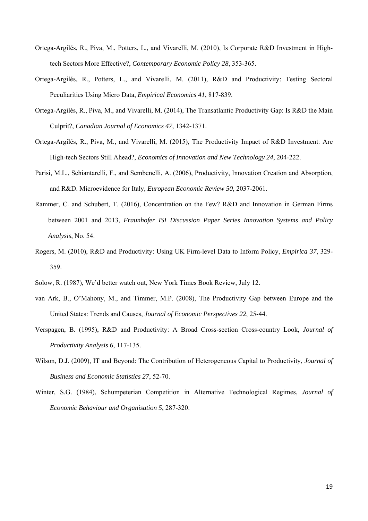- Ortega-Argilés, R., Piva, M., Potters, L., and Vivarelli, M. (2010), Is Corporate R&D Investment in Hightech Sectors More Effective?, *Contemporary Economic Policy 28*, 353-365.
- Ortega-Argilés, R., Potters, L., and Vivarelli, M. (2011), R&D and Productivity: Testing Sectoral Peculiarities Using Micro Data, *Empirical Economics 41*, 817-839.
- Ortega-Argilés, R., Piva, M., and Vivarelli, M. (2014), The Transatlantic Productivity Gap: Is R&D the Main Culprit?, *Canadian Journal of Economics 47*, 1342-1371.
- Ortega-Argilés, R., Piva, M., and Vivarelli, M. (2015), The Productivity Impact of R&D Investment: Are High-tech Sectors Still Ahead?, *Economics of Innovation and New Technology 24*, 204-222.
- Parisi, M.L., Schiantarelli, F., and Sembenelli, A. (2006), Productivity, Innovation Creation and Absorption, and R&D. Microevidence for Italy, *European Economic Review 50*, 2037-2061.
- Rammer, C. and Schubert, T. (2016), Concentration on the Few? R&D and Innovation in German Firms between 2001 and 2013, *Fraunhofer ISI Discussion Paper Series Innovation Systems and Policy Analysis*, No. 54.
- Rogers, M. (2010), R&D and Productivity: Using UK Firm-level Data to Inform Policy, *Empirica 37*, 329- 359.
- Solow, R. (1987), We'd better watch out, New York Times Book Review, July 12.
- van Ark, B., O'Mahony, M., and Timmer, M.P. (2008), The Productivity Gap between Europe and the United States: Trends and Causes, *Journal of Economic Perspectives 22*, 25-44.
- Verspagen, B. (1995), R&D and Productivity: A Broad Cross-section Cross-country Look, *Journal of Productivity Analysis 6*, 117-135.
- Wilson, D.J. (2009), IT and Beyond: The Contribution of Heterogeneous Capital to Productivity, *Journal of Business and Economic Statistics 27*, 52-70.
- Winter, S.G. (1984), Schumpeterian Competition in Alternative Technological Regimes, *Journal of Economic Behaviour and Organisation 5*, 287-320.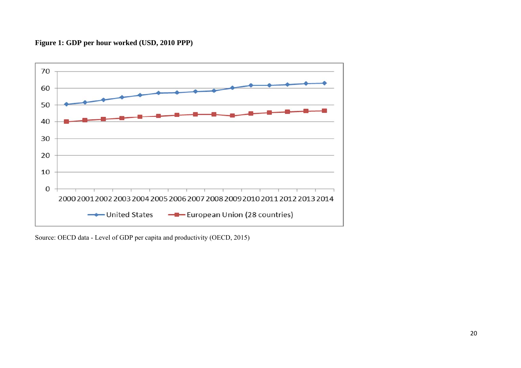# **Figure 1: GDP per hour worked (USD, 2010 PPP)**



Source: OECD data - Level of GDP per capita and productivity (OECD, 2015)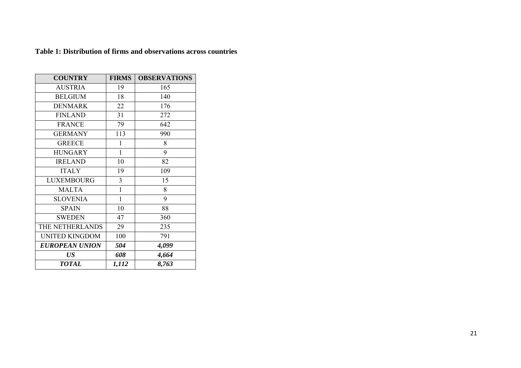| <b>COUNTRY</b>        | <b>FIRMS</b> | <b>OBSERVATIONS</b> |
|-----------------------|--------------|---------------------|
| <b>AUSTRIA</b>        | 19           | 165                 |
| <b>BELGIUM</b>        | 18           | 140                 |
| <b>DENMARK</b>        | 22           | 176                 |
| <b>FINLAND</b>        | 31           | 272                 |
| <b>FRANCE</b>         | 79           | 642                 |
| <b>GERMANY</b>        | 113          | 990                 |
| <b>GREECE</b>         | 1            | 8                   |
| <b>HUNGARY</b>        | $\mathbf{1}$ | 9                   |
| <b>IRELAND</b>        | 10           | 82                  |
| <b>ITALY</b>          | 19           | 109                 |
| <b>LUXEMBOURG</b>     | 3            | 15                  |
| <b>MALTA</b>          | $\mathbf 1$  | 8                   |
| <b>SLOVENIA</b>       | $\mathbf 1$  | 9                   |
| <b>SPAIN</b>          | 10           | 88                  |
| <b>SWEDEN</b>         | 47           | 360                 |
| THE NETHERLANDS       | 29           | 235                 |
| <b>UNITED KINGDOM</b> | 100          | 791                 |
| <b>EUROPEAN UNION</b> | 504          | 4,099               |
| US                    | 608          | 4,664               |
| <b>TOTAL</b>          | 1,112        | 8,763               |

**Table 1: Distribution of firms and observations across countries**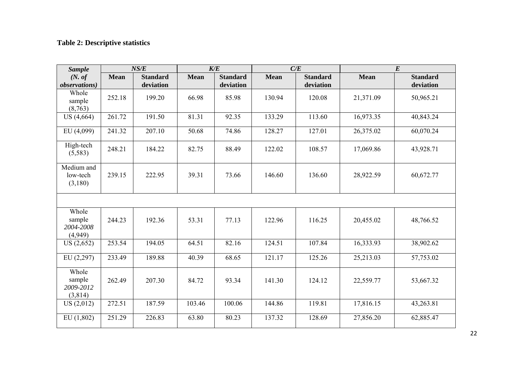# **Table 2: Descriptive statistics**

| <b>Sample</b>                           |             | NS/E                         |             | K/E                          |             | C/E                          |             | $\boldsymbol{E}$             |
|-----------------------------------------|-------------|------------------------------|-------------|------------------------------|-------------|------------------------------|-------------|------------------------------|
| (N. of)<br><i>observations</i> )        | <b>Mean</b> | <b>Standard</b><br>deviation | <b>Mean</b> | <b>Standard</b><br>deviation | <b>Mean</b> | <b>Standard</b><br>deviation | <b>Mean</b> | <b>Standard</b><br>deviation |
| Whole<br>sample<br>(8,763)              | 252.18      | 199.20                       | 66.98       | 85.98                        | 130.94      | 120.08                       | 21,371.09   | 50,965.21                    |
| US(4,664)                               | 261.72      | 191.50                       | 81.31       | 92.35                        | 133.29      | 113.60                       | 16,973.35   | 40,843.24                    |
| EU (4,099)                              | 241.32      | 207.10                       | 50.68       | 74.86                        | 128.27      | 127.01                       | 26,375.02   | 60,070.24                    |
| High-tech<br>(5,583)                    | 248.21      | 184.22                       | 82.75       | 88.49                        | 122.02      | 108.57                       | 17,069.86   | 43,928.71                    |
| Medium and<br>low-tech<br>(3,180)       | 239.15      | 222.95                       | 39.31       | 73.66                        | 146.60      | 136.60                       | 28,922.59   | 60,672.77                    |
|                                         |             |                              |             |                              |             |                              |             |                              |
| Whole<br>sample<br>2004-2008<br>(4,949) | 244.23      | 192.36                       | 53.31       | 77.13                        | 122.96      | 116.25                       | 20,455.02   | 48,766.52                    |
| US(2,652)                               | 253.54      | 194.05                       | 64.51       | 82.16                        | 124.51      | 107.84                       | 16,333.93   | 38,902.62                    |
| EU(2,297)                               | 233.49      | 189.88                       | 40.39       | 68.65                        | 121.17      | 125.26                       | 25,213.03   | 57,753.02                    |
| Whole<br>sample<br>2009-2012<br>(3,814) | 262.49      | 207.30                       | 84.72       | 93.34                        | 141.30      | 124.12                       | 22,559.77   | 53,667.32                    |
| US(2,012)                               | 272.51      | 187.59                       | 103.46      | 100.06                       | 144.86      | 119.81                       | 17,816.15   | 43,263.81                    |
| EU(1,802)                               | 251.29      | 226.83                       | 63.80       | 80.23                        | 137.32      | 128.69                       | 27,856.20   | 62,885.47                    |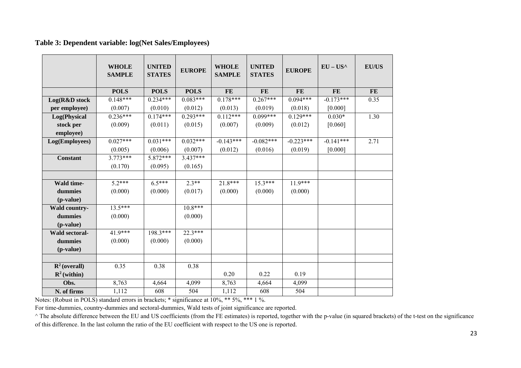### **Table 3: Dependent variable: log(Net Sales/Employees)**

|                          | <b>WHOLE</b><br><b>SAMPLE</b> | <b>UNITED</b><br><b>STATES</b> | <b>EUROPE</b> | <b>WHOLE</b><br><b>SAMPLE</b> | <b>UNITED</b><br><b>STATES</b> | <b>EUROPE</b> | $EU - US^{\wedge}$ | <b>EU/US</b> |
|--------------------------|-------------------------------|--------------------------------|---------------|-------------------------------|--------------------------------|---------------|--------------------|--------------|
|                          | <b>POLS</b>                   | <b>POLS</b>                    | <b>POLS</b>   | <b>FE</b>                     | <b>FE</b>                      | <b>FE</b>     | <b>FE</b>          | FE           |
| Log(R&D stock            | $0.148***$                    | $0.234***$                     | $0.083***$    | $0.178***$                    | $0.267***$                     | $0.094***$    | $-0.173***$        | 0.35         |
| per employee)            | (0.007)                       | (0.010)                        | (0.012)       | (0.013)                       | (0.019)                        | (0.018)       | [0.000]            |              |
| Log(Physical             | $0.236***$                    | $0.174***$                     | $0.293***$    | $0.112***$                    | $0.099***$                     | $0.129***$    | $0.030*$           | 1.30         |
| stock per                | (0.009)                       | (0.011)                        | (0.015)       | (0.007)                       | (0.009)                        | (0.012)       | [0.060]            |              |
| employee)                |                               |                                |               |                               |                                |               |                    |              |
| Log(Employees)           | $0.027***$                    | $0.031***$                     | $0.032***$    | $-0.143***$                   | $-0.082***$                    | $-0.223***$   | $-0.141***$        | 2.71         |
|                          | (0.005)                       | (0.006)                        | (0.007)       | (0.012)                       | (0.016)                        | (0.019)       | [0.000]            |              |
| <b>Constant</b>          | $3.773***$                    | $5.872***$                     | $3.437***$    |                               |                                |               |                    |              |
|                          | (0.170)                       | (0.095)                        | (0.165)       |                               |                                |               |                    |              |
|                          |                               |                                |               |                               |                                |               |                    |              |
| Wald time-               | $5.2***$                      | $6.5***$                       | $2.3**$       | 21.8***                       | $15.3***$                      | $11.9***$     |                    |              |
| dummies                  | (0.000)                       | (0.000)                        | (0.017)       | (0.000)                       | (0.000)                        | (0.000)       |                    |              |
| (p-value)                |                               |                                |               |                               |                                |               |                    |              |
| Wald country-            | $13.5***$                     |                                | $10.8***$     |                               |                                |               |                    |              |
| dummies                  | (0.000)                       |                                | (0.000)       |                               |                                |               |                    |              |
| (p-value)                |                               |                                |               |                               |                                |               |                    |              |
| Wald sectoral-           | 41.9***                       | 198.3***                       | $22.3***$     |                               |                                |               |                    |              |
| dummies                  | (0.000)                       | (0.000)                        | (0.000)       |                               |                                |               |                    |              |
| (p-value)                |                               |                                |               |                               |                                |               |                    |              |
|                          |                               |                                |               |                               |                                |               |                    |              |
| $\mathbb{R}^2$ (overall) | 0.35                          | 0.38                           | 0.38          |                               |                                |               |                    |              |
| $\mathbf{R}^2$ (within)  |                               |                                |               | 0.20                          | 0.22                           | 0.19          |                    |              |
| Obs.                     | 8,763                         | 4,664                          | 4,099         | 8,763                         | 4,664                          | 4,099         |                    |              |
| N. of firms              | 1,112                         | 608                            | 504           | 1,112                         | 608                            | 504           |                    |              |

Notes: (Robust in POLS) standard errors in brackets; \* significance at 10%, \*\* 5%, \*\*\* 1 %.

For time-dummies, country-dummies and sectoral-dummies, Wald tests of joint significance are reported.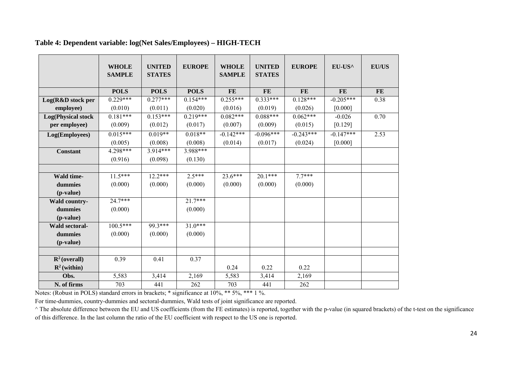|                           | <b>WHOLE</b><br><b>SAMPLE</b> | <b>UNITED</b><br><b>STATES</b> | <b>EUROPE</b> | <b>WHOLE</b><br><b>SAMPLE</b> | <b>UNITED</b><br><b>STATES</b> | <b>EUROPE</b> | EU-US^      | <b>EU/US</b> |
|---------------------------|-------------------------------|--------------------------------|---------------|-------------------------------|--------------------------------|---------------|-------------|--------------|
|                           | <b>POLS</b>                   | <b>POLS</b>                    | <b>POLS</b>   | <b>FE</b>                     | <b>FE</b>                      | <b>FE</b>     | <b>FE</b>   | FE           |
| Log(R&D stock per         | $0.229***$                    | $0.277***$                     | $0.154***$    | $0.255***$                    | $0.333***$                     | $0.128***$    | $-0.205***$ | 0.38         |
| employee)                 | (0.010)                       | (0.011)                        | (0.020)       | (0.016)                       | (0.019)                        | (0.026)       | $[0.000]$   |              |
| <b>Log(Physical stock</b> | $0.181***$                    | $0.153***$                     | $0.219***$    | $0.082***$                    | $0.088***$                     | $0.062***$    | $-0.026$    | 0.70         |
| per employee)             | (0.009)                       | (0.012)                        | (0.017)       | (0.007)                       | (0.009)                        | (0.015)       | $[0.129]$   |              |
| Log(Employees)            | $0.015***$                    | $0.019**$                      | $0.018**$     | $-0.142***$                   | $-0.096***$                    | $-0.243***$   | $-0.147***$ | 2.53         |
|                           | (0.005)                       | (0.008)                        | (0.008)       | (0.014)                       | (0.017)                        | (0.024)       | $[0.000]$   |              |
| <b>Constant</b>           | 4.298***                      | 3.914***                       | 3.988***      |                               |                                |               |             |              |
|                           | (0.916)                       | (0.098)                        | (0.130)       |                               |                                |               |             |              |
|                           |                               |                                |               |                               |                                |               |             |              |
| Wald time-                | $11.5***$                     | $12.2***$                      | $2.5***$      | $23.6***$                     | $20.1***$                      | $7.7***$      |             |              |
| dummies                   | (0.000)                       | (0.000)                        | (0.000)       | (0.000)                       | (0.000)                        | (0.000)       |             |              |
| (p-value)                 |                               |                                |               |                               |                                |               |             |              |
| Wald country-             | $24.7***$                     |                                | $21.7***$     |                               |                                |               |             |              |
| dummies                   | (0.000)                       |                                | (0.000)       |                               |                                |               |             |              |
| (p-value)                 |                               |                                |               |                               |                                |               |             |              |
| Wald sectoral-            | $100.5***$                    | 99.3***                        | $31.0***$     |                               |                                |               |             |              |
| dummies                   | (0.000)                       | (0.000)                        | (0.000)       |                               |                                |               |             |              |
| (p-value)                 |                               |                                |               |                               |                                |               |             |              |
|                           |                               |                                |               |                               |                                |               |             |              |
| $\mathbb{R}^2$ (overall)  | 0.39                          | 0.41                           | 0.37          |                               |                                |               |             |              |
| $\mathbf{R}^2$ (within)   |                               |                                |               | 0.24                          | 0.22                           | 0.22          |             |              |
| Obs.                      | 5,583                         | 3,414                          | 2,169         | 5,583                         | 3,414                          | 2,169         |             |              |
| N. of firms               | 703                           | 441                            | 262           | 703                           | 441                            | 262           |             |              |

### **Table 4: Dependent variable: log(Net Sales/Employees) – HIGH-TECH**

Notes: (Robust in POLS) standard errors in brackets; \* significance at 10%, \*\* 5%, \*\*\* 1 %.

For time-dummies, country-dummies and sectoral-dummies, Wald tests of joint significance are reported.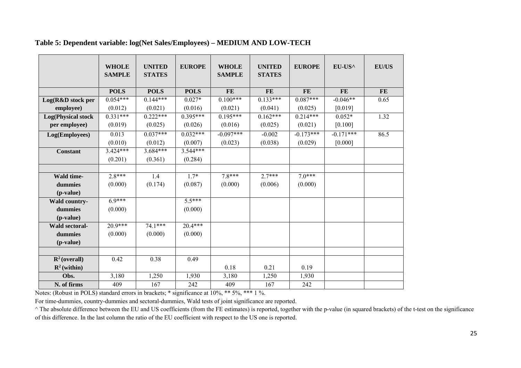|                           | <b>WHOLE</b><br><b>SAMPLE</b> | <b>UNITED</b><br><b>STATES</b> | <b>EUROPE</b> | <b>WHOLE</b><br><b>SAMPLE</b> | <b>UNITED</b><br><b>STATES</b> | <b>EUROPE</b> | EU-US^      | <b>EU/US</b> |
|---------------------------|-------------------------------|--------------------------------|---------------|-------------------------------|--------------------------------|---------------|-------------|--------------|
|                           |                               |                                |               |                               |                                |               |             |              |
|                           | <b>POLS</b>                   | <b>POLS</b>                    | <b>POLS</b>   | <b>FE</b>                     | <b>FE</b>                      | <b>FE</b>     | <b>FE</b>   | $\bf FE$     |
| Log(R&D stock per         | $0.054***$                    | $0.144***$                     | $0.027*$      | $0.100***$                    | $0.133***$                     | $0.087***$    | $-0.046**$  | 0.65         |
| employee)                 | (0.012)                       | (0.021)                        | (0.016)       | (0.021)                       | (0.041)                        | (0.025)       | [0.019]     |              |
| <b>Log(Physical stock</b> | $0.331***$                    | $0.222***$                     | $0.395***$    | $0.195***$                    | $0.162***$                     | $0.214***$    | $0.052*$    | 1.32         |
| per employee)             | (0.019)                       | (0.025)                        | (0.026)       | (0.016)                       | (0.025)                        | (0.021)       | $[0.100]$   |              |
| Log(Employees)            | 0.013                         | $0.037***$                     | $0.032***$    | $-0.097***$                   | $-0.002$                       | $-0.173***$   | $-0.171***$ | 86.5         |
|                           | (0.010)                       | (0.012)                        | (0.007)       | (0.023)                       | (0.038)                        | (0.029)       | [0.000]     |              |
| <b>Constant</b>           | $3.424***$                    | $3.684***$                     | $3.544***$    |                               |                                |               |             |              |
|                           | (0.201)                       | (0.361)                        | (0.284)       |                               |                                |               |             |              |
|                           |                               |                                |               |                               |                                |               |             |              |
| Wald time-                | $2.8***$                      | 1.4                            | $1.7*$        | $7.8***$                      | $2.7***$                       | $7.0***$      |             |              |
| dummies                   | (0.000)                       | (0.174)                        | (0.087)       | (0.000)                       | (0.006)                        | (0.000)       |             |              |
| (p-value)                 |                               |                                |               |                               |                                |               |             |              |
| Wald country-             | $6.9***$                      |                                | $5.5***$      |                               |                                |               |             |              |
| dummies                   | (0.000)                       |                                | (0.000)       |                               |                                |               |             |              |
| (p-value)                 |                               |                                |               |                               |                                |               |             |              |
| <b>Wald sectoral-</b>     | $20.9***$                     | $74.1***$                      | $20.4***$     |                               |                                |               |             |              |
| dummies                   | (0.000)                       | (0.000)                        | (0.000)       |                               |                                |               |             |              |
| (p-value)                 |                               |                                |               |                               |                                |               |             |              |
|                           |                               |                                |               |                               |                                |               |             |              |
| $\mathbf{R}^2$ (overall)  | 0.42                          | 0.38                           | 0.49          |                               |                                |               |             |              |
| $\mathbf{R}^2$ (within)   |                               |                                |               | 0.18                          | 0.21                           | 0.19          |             |              |
| Obs.                      | 3,180                         | 1,250                          | 1,930         | 3,180                         | 1,250                          | 1,930         |             |              |
| N. of firms               | 409                           | 167                            | 242           | 409                           | 167                            | 242           |             |              |

### **Table 5: Dependent variable: log(Net Sales/Employees) – MEDIUM AND LOW-TECH**

Notes: (Robust in POLS) standard errors in brackets; \* significance at 10%, \*\* 5%, \*\*\* 1 %.

For time-dummies, country-dummies and sectoral-dummies, Wald tests of joint significance are reported.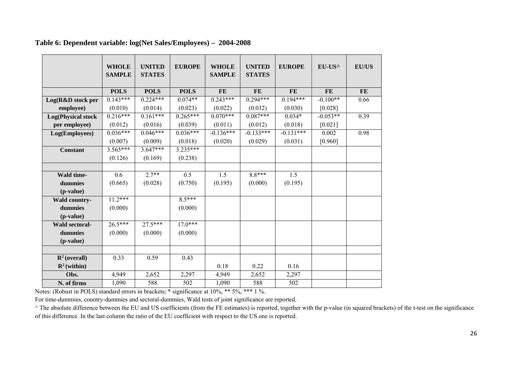|                           | <b>WHOLE</b><br><b>SAMPLE</b> | <b>UNITED</b><br><b>STATES</b> | <b>EUROPE</b> | <b>WHOLE</b><br><b>SAMPLE</b> | <b>UNITED</b><br><b>STATES</b> | <b>EUROPE</b> | EU-US^     | <b>EU/US</b> |
|---------------------------|-------------------------------|--------------------------------|---------------|-------------------------------|--------------------------------|---------------|------------|--------------|
|                           |                               |                                |               |                               |                                |               |            |              |
|                           | <b>POLS</b>                   | <b>POLS</b>                    | <b>POLS</b>   | <b>FE</b>                     | <b>FE</b>                      | <b>FE</b>     | <b>FE</b>  | <b>FE</b>    |
| Log(R&D stock per         | $0.143***$                    | $0.224***$                     | $0.074**$     | $0.243***$                    | $0.294***$                     | $0.194***$    | $-0.100**$ | 0.66         |
| employee)                 | (0.010)                       | (0.014)                        | (0.023)       | (0.022)                       | (0.032)                        | (0.030)       | $[0.028]$  |              |
| <b>Log(Physical stock</b> | $0.216***$                    | $0.161***$                     | $0.265***$    | $0.070***$                    | $0.087***$                     | $0.034*$      | $-0.053**$ | 0.39         |
| per employee)             | (0.012)                       | (0.016)                        | (0.039)       | (0.011)                       | (0.012)                        | (0.018)       | [0.021]    |              |
| Log(Employees)            | $0.036***$                    | $0.046***$                     | $0.036***$    | $-0.136***$                   | $-0.133***$                    | $-0.131***$   | 0.002      | 0.98         |
|                           | (0.007)                       | (0.009)                        | (0.018)       | (0.020)                       | (0.029)                        | (0.031)       | [0.960]    |              |
| <b>Constant</b>           | $3.565***$                    | $3.647***$                     | $3.235***$    |                               |                                |               |            |              |
|                           | (0.126)                       | (0.169)                        | (0.238)       |                               |                                |               |            |              |
|                           |                               |                                |               |                               |                                |               |            |              |
| Wald time-                | 0.6                           | $2.7**$                        | 0.5           | 1.5                           | $8.8***$                       | 1.5           |            |              |
| dummies                   | (0.665)                       | (0.028)                        | (0.750)       | (0.195)                       | (0.000)                        | (0.195)       |            |              |
| (p-value)                 |                               |                                |               |                               |                                |               |            |              |
| Wald country-             | $11.2***$                     |                                | $8.5***$      |                               |                                |               |            |              |
| dummies                   | (0.000)                       |                                | (0.000)       |                               |                                |               |            |              |
| (p-value)                 |                               |                                |               |                               |                                |               |            |              |
| Wald sectoral-            | $26.5***$                     | $27.5***$                      | $17.0***$     |                               |                                |               |            |              |
| dummies                   | (0.000)                       | (0.000)                        | (0.000)       |                               |                                |               |            |              |
| (p-value)                 |                               |                                |               |                               |                                |               |            |              |
|                           |                               |                                |               |                               |                                |               |            |              |
| $\mathbf{R}^2$ (overall)  | 0.33                          | 0.59                           | 0.43          |                               |                                |               |            |              |
| $\mathbb{R}^2$ (within)   |                               |                                |               | 0.18                          | 0.22                           | 0.16          |            |              |
| Obs.                      | 4,949                         | 2,652                          | 2,297         | 4,949                         | 2,652                          | 2,297         |            |              |
| N. of firms               | 1,090                         | 588                            | 502           | 1,090                         | 588                            | 502           |            |              |

### **Table 6: Dependent variable: log(Net Sales/Employees) – 2004-2008**

Notes: (Robust in POLS) standard errors in brackets; \* significance at 10%, \*\* 5%, \*\*\* 1 %.

For time-dummies, country-dummies and sectoral-dummies, Wald tests of joint significance are reported.